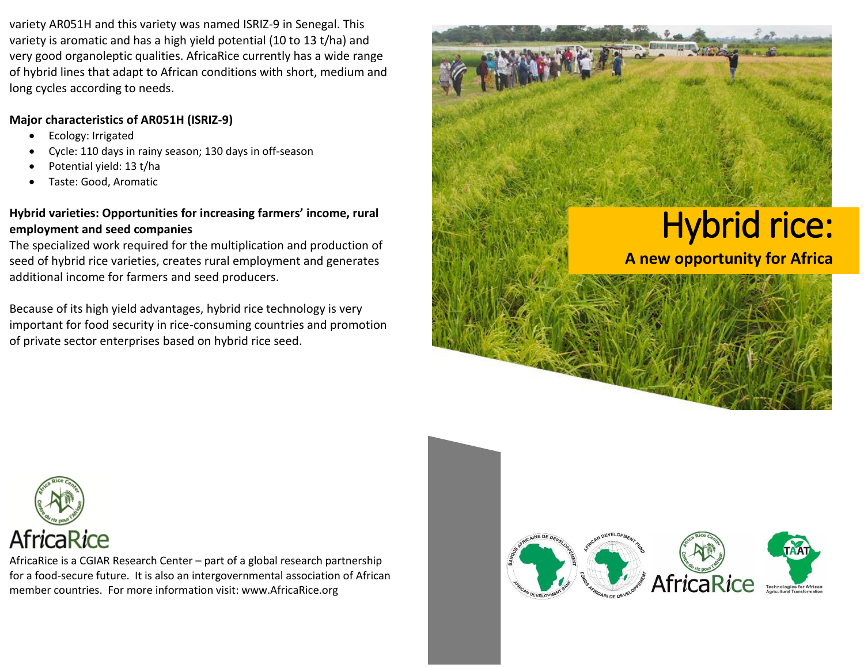variety AR051H and this variety was named ISRIZ-9 in Senegal. This variety is aromatic and has a high yield potential (10 to 13 t/ha) and very good organoleptic qualities. AfricaRice currently has a wide range of hybrid lines that adapt to African conditions with short, medium and long cycles according to needs.

# **Major characteristics of AR051H (ISRIZ-9)**

- Ecology: Irrigated
- Cycle: 110 days in rainy season; 130 days in off-season
- Potential yield: 13 t/ha
- Taste: Good, Aromatic

# **Hybrid varieties: Opportunities for increasing farmers' income, rural employment and seed companies**

The specialized work required for the multiplication and production of seed of hybrid rice varieties, creates rural employment and generates additional income for farmers and seed producers.

Because of its high yield advantages, hybrid rice technology is very important for food security in rice-consuming countries and promotion of private sector enterprises based on hybrid rice seed.





AfricaRice is a CGIAR Research Center – part of a global research partnership for a food-secure future. It is also an intergovernmental association of African member countries. For more information visit: www.AfricaRice.org